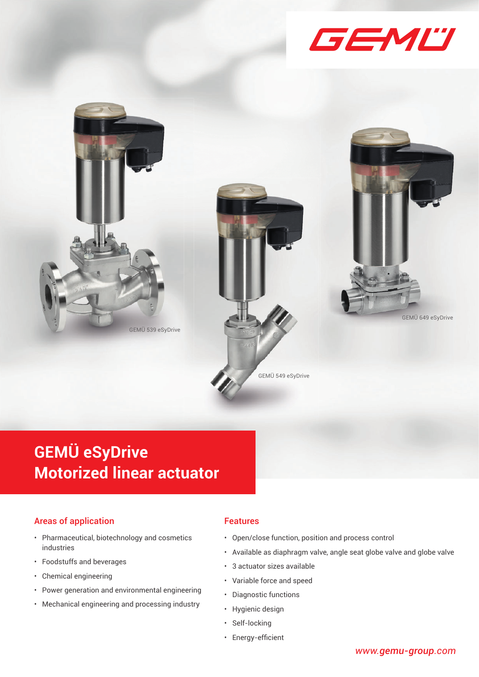



# **GEMÜ eSyDrive Motorized linear actuator**

## Areas of application

- Pharmaceutical, biotechnology and cosmetics industries
- Foodstuffs and beverages
- Chemical engineering
- Power generation and environmental engineering
- Mechanical engineering and processing industry

#### Features

- Open/close function, position and process control
- Available as diaphragm valve, angle seat globe valve and globe valve
- 3 actuator sizes available
- Variable force and speed
- Diagnostic functions
- Hygienic design
- Self-locking
- Energy-efficient

### *www.gemu-group.com*